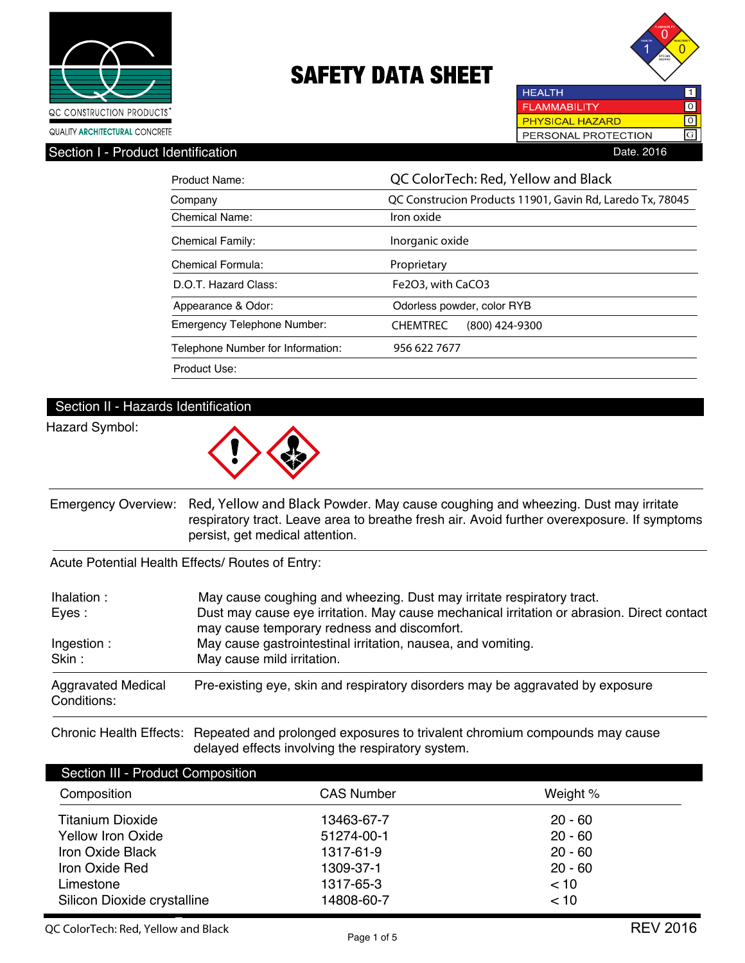



**FLAMMABILITY**  $\overline{10}$ **PHYSICAL HAZARD** लि  $\boxed{G}$ PERSONAL PROTECTION

**HEALTH** 

Section I - Product Identification **Date.** 2016

| Product Name:                     | QC ColorTech: Red, Yellow and Black                       |
|-----------------------------------|-----------------------------------------------------------|
| Company                           | QC Construcion Products 11901, Gavin Rd, Laredo Tx, 78045 |
| Chemical Name:                    | Iron oxide                                                |
| <b>Chemical Family:</b>           | Inorganic oxide                                           |
| Chemical Formula:                 | Proprietary                                               |
| D.O.T. Hazard Class:              | Fe2O3, with CaCO3                                         |
| Appearance & Odor:                | Odorless powder, color RYB                                |
| Emergency Telephone Number:       | <b>CHEMTREC</b><br>$(800)$ 424-9300                       |
| Telephone Number for Information: | 956 622 7677                                              |
| Product Use:                      |                                                           |

## Section II - Hazards Identification

Hazard Symbol:



Emergency Overview: **Red, Yellow and Black** Powder. May cause coughing and wheezing. Dust may irritate respiratory tract. Leave area to breathe fresh air. Avoid further overexposure. If symptoms persist, get medical attention.

Acute Potential Health Effects/ Routes of Entry:

| Ihalation:<br>Eyes:                      | May cause coughing and wheezing. Dust may irritate respiratory tract.<br>Dust may cause eye irritation. May cause mechanical irritation or abrasion. Direct contact<br>may cause temporary redness and discomfort. |
|------------------------------------------|--------------------------------------------------------------------------------------------------------------------------------------------------------------------------------------------------------------------|
| Ingestion:<br>Skin:                      | May cause gastrointestinal irritation, nausea, and vomiting.<br>May cause mild irritation.                                                                                                                         |
| <b>Aggravated Medical</b><br>Conditions: | Pre-existing eye, skin and respiratory disorders may be aggravated by exposure                                                                                                                                     |

Chronic Health Effects: Repeated and prolonged exposures to trivalent chromium compounds may cause delayed effects involving the respiratory system.

| Section III - Product Composition |                   |           |  |
|-----------------------------------|-------------------|-----------|--|
| Composition                       | <b>CAS Number</b> | Weight %  |  |
| <b>Titanium Dioxide</b>           | 13463-67-7        | $20 - 60$ |  |
| <b>Yellow Iron Oxide</b>          | 51274-00-1        | $20 - 60$ |  |
| Iron Oxide Black                  | 1317-61-9         | $20 - 60$ |  |
| Iron Oxide Red                    | 1309-37-1         | $20 - 60$ |  |
| Limestone                         | 1317-65-3         | < 10      |  |
| Silicon Dioxide crystalline       | 14808-60-7        | < 10      |  |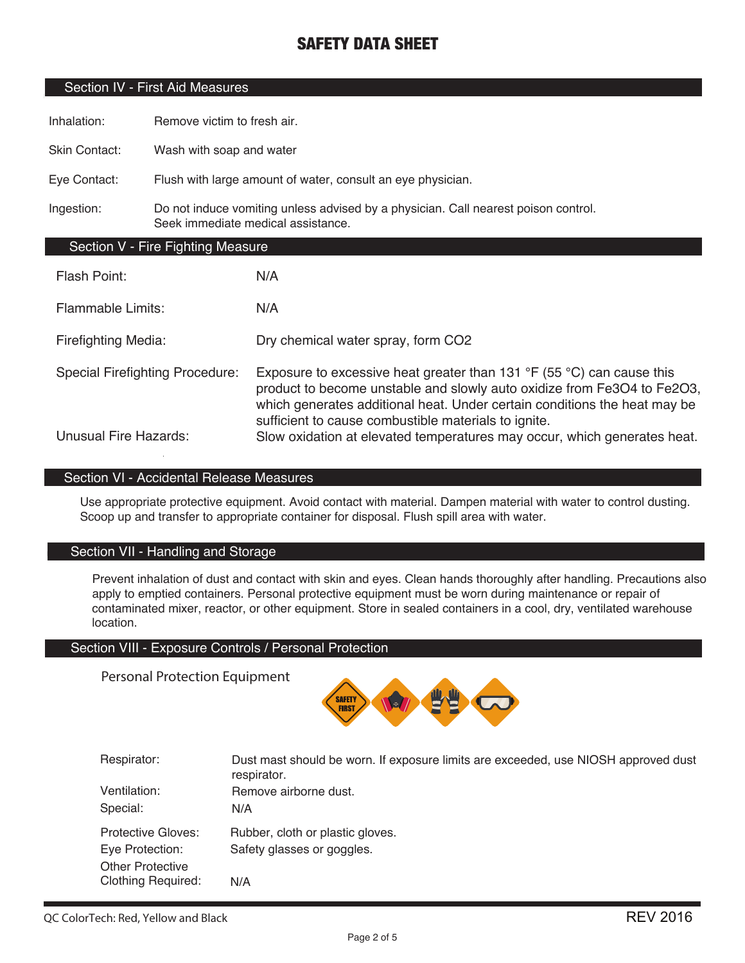### Section IV - First Aid Measures

Inhalation: Remove victim to fresh air.

Skin Contact: Wash with soap and water

Eye Contact: Flush with large amount of water, consult an eye physician.

Ingestion: Do not induce vomiting unless advised by a physician. Call nearest poison control. Seek immediate medical assistance.

#### Section V - Fire Fighting Measure

| Flash Point:                           | N/A                                                                                                                                                                                                                                                                                                     |
|----------------------------------------|---------------------------------------------------------------------------------------------------------------------------------------------------------------------------------------------------------------------------------------------------------------------------------------------------------|
| Flammable Limits:                      | N/A                                                                                                                                                                                                                                                                                                     |
| <b>Firefighting Media:</b>             | Dry chemical water spray, form CO2                                                                                                                                                                                                                                                                      |
| <b>Special Firefighting Procedure:</b> | Exposure to excessive heat greater than 131 $\degree$ F (55 $\degree$ C) can cause this<br>product to become unstable and slowly auto oxidize from Fe3O4 to Fe2O3,<br>which generates additional heat. Under certain conditions the heat may be<br>sufficient to cause combustible materials to ignite. |
| <b>Unusual Fire Hazards:</b>           | Slow oxidation at elevated temperatures may occur, which generates heat.                                                                                                                                                                                                                                |

### Section VI - Accidental Release Measures

Use appropriate protective equipment. Avoid contact with material. Dampen material with water to control dusting. Scoop up and transfer to appropriate container for disposal. Flush spill area with water.

#### Section VII - Handling and Storage

Prevent inhalation of dust and contact with skin and eyes. Clean hands thoroughly after handling. Precautions also apply to emptied containers. Personal protective equipment must be worn during maintenance or repair of contaminated mixer, reactor, or other equipment. Store in sealed containers in a cool, dry, ventilated warehouse location.

#### Section VIII - Exposure Controls / Personal Protection

Personal Protection Equipment



| Respirator:               | Dust mast should be worn. If exposure limits are exceeded, use NIOSH approved dust<br>respirator. |
|---------------------------|---------------------------------------------------------------------------------------------------|
| Ventilation:              | Remove airborne dust.                                                                             |
| Special:                  | N/A                                                                                               |
| <b>Protective Gloves:</b> | Rubber, cloth or plastic gloves.                                                                  |
| Eye Protection:           | Safety glasses or goggles.                                                                        |
| <b>Other Protective</b>   |                                                                                                   |
| <b>Clothing Required:</b> | N/A                                                                                               |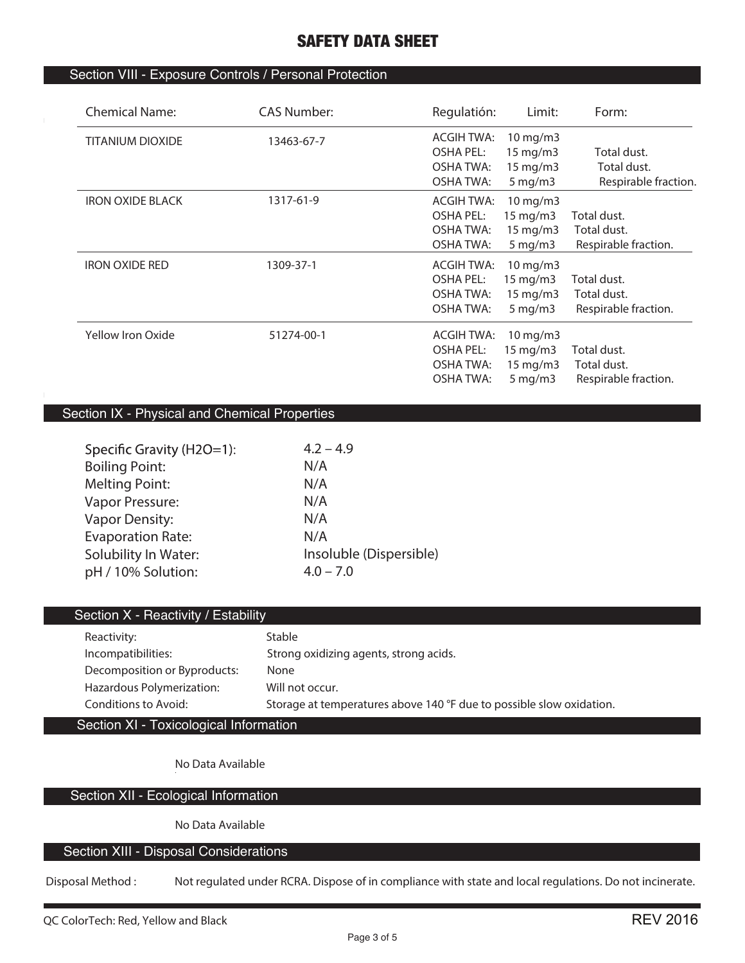## Section VIII - Exposure Controls / Personal Protection

| <b>Chemical Name:</b>   | CAS Number: | Regulatión:       | Limit:               | Form:                |
|-------------------------|-------------|-------------------|----------------------|----------------------|
| <b>TITANIUM DIOXIDE</b> | 13463-67-7  | <b>ACGIH TWA:</b> | 10 mg/m3             |                      |
|                         |             | <b>OSHA PEL:</b>  | 15 mg/m3             | Total dust.          |
|                         |             | <b>OSHA TWA:</b>  | $15 \text{ mg/m}$    | Total dust.          |
|                         |             | <b>OSHA TWA:</b>  | $5$ mg/m $3$         | Respirable fraction. |
| <b>IRON OXIDE BLACK</b> | 1317-61-9   | <b>ACGIH TWA:</b> | 10 mg/m3             |                      |
|                         |             | <b>OSHA PEL:</b>  | $15 \text{ mg/m}$    | Total dust.          |
|                         |             | <b>OSHA TWA:</b>  | 15 mg/m3             | Total dust.          |
|                         |             | <b>OSHA TWA:</b>  | $5 \,\mathrm{mg/m}$  | Respirable fraction. |
| <b>IRON OXIDE RED</b>   | 1309-37-1   | <b>ACGIH TWA:</b> | $10 \,\mathrm{mg/m}$ |                      |
|                         |             | OSHA PEL:         | 15 mg/m3             | Total dust.          |
|                         |             | <b>OSHA TWA:</b>  | $15 \text{ mg/m}$    | Total dust.          |
|                         |             | <b>OSHA TWA:</b>  | $5 \,\mathrm{mg/m}$  | Respirable fraction. |
| Yellow Iron Oxide       | 51274-00-1  | ACGIH TWA:        | 10 mg/m3             |                      |
|                         |             | OSHA PEL:         | 15 mg/m3             | Total dust.          |
|                         |             | <b>OSHA TWA:</b>  | $15 \text{ mg/m}$    | Total dust.          |
|                         |             | <b>OSHA TWA:</b>  | $5 \,\mathrm{mg/m}$  | Respirable fraction. |
|                         |             |                   |                      |                      |

## Section IX - Physical and Chemical Properties

| $4.2 - 4.9$             |
|-------------------------|
| N/A                     |
| N/A                     |
| N/A                     |
| N/A                     |
| N/A                     |
| Insoluble (Dispersible) |
| $4.0 - 7.0$             |
|                         |

## Section X - Reactivity / Estability

| Reactivity:                  | Stable                                                               |
|------------------------------|----------------------------------------------------------------------|
| Incompatibilities:           | Strong oxidizing agents, strong acids.                               |
| Decomposition or Byproducts: | None                                                                 |
| Hazardous Polymerization:    | Will not occur.                                                      |
| Conditions to Avoid:         | Storage at temperatures above 140 °F due to possible slow oxidation. |

Section XI - Toxicological Information

**No Data Available**

## Section XII - Ecological Information

**No Data Available**

## Section XIII - Disposal Considerations

**Disposal Method : Not regulated under RCRA. Dispose of in compliance with state and local regulations. Do not incinerate.**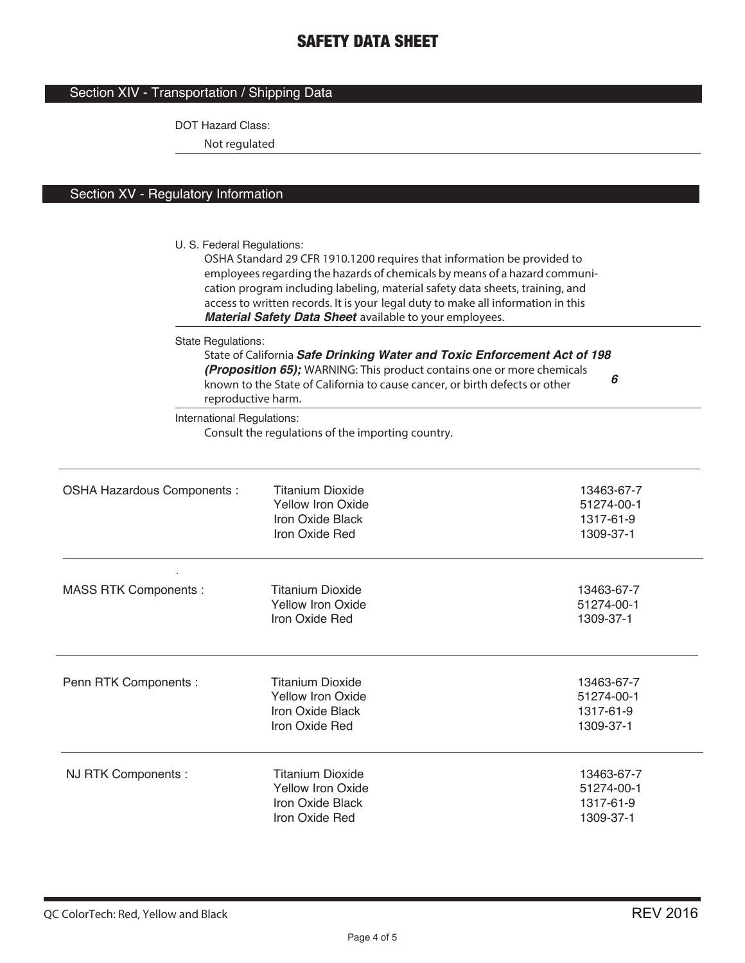### Section XIV - Transportation / Shipping Data

DOT Hazard Class:

**Not regulated**

## Section XV - Regulatory Information

U. S. Federal Regulations: **OSHA Standard 29 CFR 1910.1200 requires that information be provided to employees regarding the hazards of chemicals by means of a hazard communication program including labeling, material safety data sheets, training, and access to written records. It is your legal duty to make all information in this**  *Material Safety Data Sheet* **available to your employees.** State Regulations: **State of California** *Safe Drinking Water and Toxic Enforcement Act of 198 6 (Proposition 65);* **WARNING: This product contains one or more chemicals known to the State of California to cause cancer, or birth defects or other reproductive harm.** International Regulations: **Consult the regulations of the importing country.** MASS RTK Components : OSHA Hazardous Components : Titanium Dioxide 13463-67-7<br>13463-67-7 13463-67-7 13463-67-7 13468-67-7 13468-67-7 13468-67 Yellow Iron Oxide Iron Oxide Black 1317-61-9<br>Iron Oxide Red 1309-37-1 Iron Oxide Red Titanium Dioxide 13463-67-7 Yellow Iron Oxide 51274-00-1 Iron Oxide Black 1317-61-9 Iron Oxide Red 1309-37-1 Titanium Dioxide 13463-67-7<br>
Yellow Iron Oxide 13463-67-7<br>
13463-67-7 Yellow Iron Oxide 51274-00-1 Iron Oxide Black 1317-61-9<br>Iron Oxide Red 1309-37-1 Iron Oxide Red **Titanium Dioxide** Penn RTK Components : NJ RTK Components : Titanium Dioxide 13463-67-7 Yellow Iron Oxide 51274-00-1 Iron Oxide Red 1309-37-1